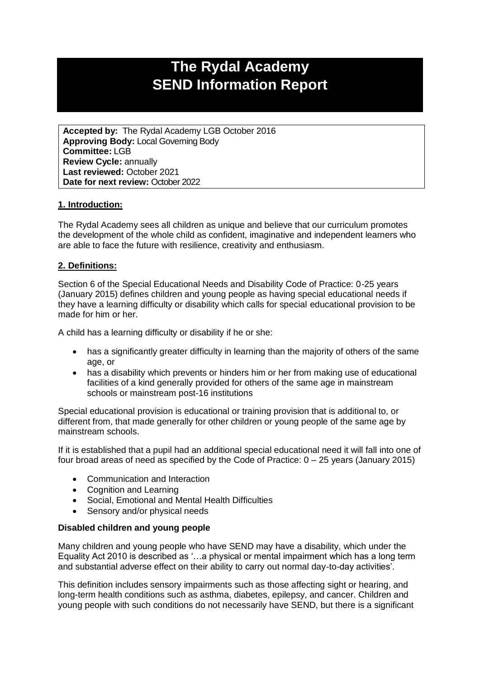# **The Rydal Academy SEND Information Report**

**Accepted by:** The Rydal Academy LGB October 2016 **Approving Body:** Local Governing Body **Committee:** LGB **Review Cycle:** annually **Last reviewed:** October 2021 **Date for next review:** October 2022

# **1. Introduction:**

The Rydal Academy sees all children as unique and believe that our curriculum promotes the development of the whole child as confident, imaginative and independent learners who are able to face the future with resilience, creativity and enthusiasm.

### **2. Definitions:**

Section 6 of the Special Educational Needs and Disability Code of Practice: 0-25 years (January 2015) defines children and young people as having special educational needs if they have a learning difficulty or disability which calls for special educational provision to be made for him or her.

A child has a learning difficulty or disability if he or she:

- has a significantly greater difficulty in learning than the majority of others of the same age, or
- has a disability which prevents or hinders him or her from making use of educational facilities of a kind generally provided for others of the same age in mainstream schools or mainstream post-16 institutions

Special educational provision is educational or training provision that is additional to, or different from, that made generally for other children or young people of the same age by mainstream schools.

If it is established that a pupil had an additional special educational need it will fall into one of four broad areas of need as specified by the Code of Practice: 0 – 25 years (January 2015)

- Communication and Interaction
- Cognition and Learning
- Social, Emotional and Mental Health Difficulties
- Sensory and/or physical needs

#### **Disabled children and young people**

Many children and young people who have SEND may have a disability, which under the Equality Act 2010 is described as '…a physical or mental impairment which has a long term and substantial adverse effect on their ability to carry out normal day-to-day activities'.

This definition includes sensory impairments such as those affecting sight or hearing, and long-term health conditions such as asthma, diabetes, epilepsy, and cancer. Children and young people with such conditions do not necessarily have SEND, but there is a significant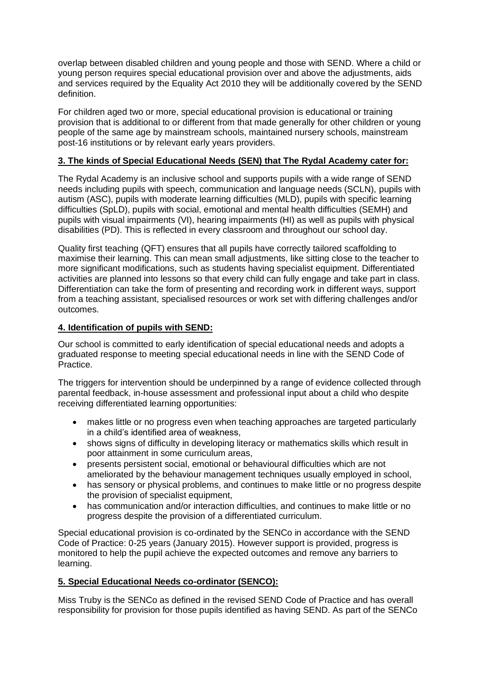overlap between disabled children and young people and those with SEND. Where a child or young person requires special educational provision over and above the adjustments, aids and services required by the Equality Act 2010 they will be additionally covered by the SEND definition.

For children aged two or more, special educational provision is educational or training provision that is additional to or different from that made generally for other children or young people of the same age by mainstream schools, maintained nursery schools, mainstream post-16 institutions or by relevant early years providers.

# **3. The kinds of Special Educational Needs (SEN) that The Rydal Academy cater for:**

The Rydal Academy is an inclusive school and supports pupils with a wide range of SEND needs including pupils with speech, communication and language needs (SCLN), pupils with autism (ASC), pupils with moderate learning difficulties (MLD), pupils with specific learning difficulties (SpLD), pupils with social, emotional and mental health difficulties (SEMH) and pupils with visual impairments (VI), hearing impairments (HI) as well as pupils with physical disabilities (PD). This is reflected in every classroom and throughout our school day.

Quality first teaching (QFT) ensures that all pupils have correctly tailored scaffolding to maximise their learning. This can mean small adjustments, like sitting close to the teacher to more significant modifications, such as students having specialist equipment. Differentiated activities are planned into lessons so that every child can fully engage and take part in class. Differentiation can take the form of presenting and recording work in different ways, support from a teaching assistant, specialised resources or work set with differing challenges and/or outcomes.

# **4. Identification of pupils with SEND:**

Our school is committed to early identification of special educational needs and adopts a graduated response to meeting special educational needs in line with the SEND Code of Practice.

The triggers for intervention should be underpinned by a range of evidence collected through parental feedback, in-house assessment and professional input about a child who despite receiving differentiated learning opportunities:

- makes little or no progress even when teaching approaches are targeted particularly in a child's identified area of weakness,
- shows signs of difficulty in developing literacy or mathematics skills which result in poor attainment in some curriculum areas,
- presents persistent social, emotional or behavioural difficulties which are not ameliorated by the behaviour management techniques usually employed in school,
- has sensory or physical problems, and continues to make little or no progress despite the provision of specialist equipment,
- has communication and/or interaction difficulties, and continues to make little or no progress despite the provision of a differentiated curriculum.

Special educational provision is co-ordinated by the SENCo in accordance with the SEND Code of Practice: 0-25 years (January 2015). However support is provided, progress is monitored to help the pupil achieve the expected outcomes and remove any barriers to learning.

# **5. Special Educational Needs co-ordinator (SENCO):**

Miss Truby is the SENCo as defined in the revised SEND Code of Practice and has overall responsibility for provision for those pupils identified as having SEND. As part of the SENCo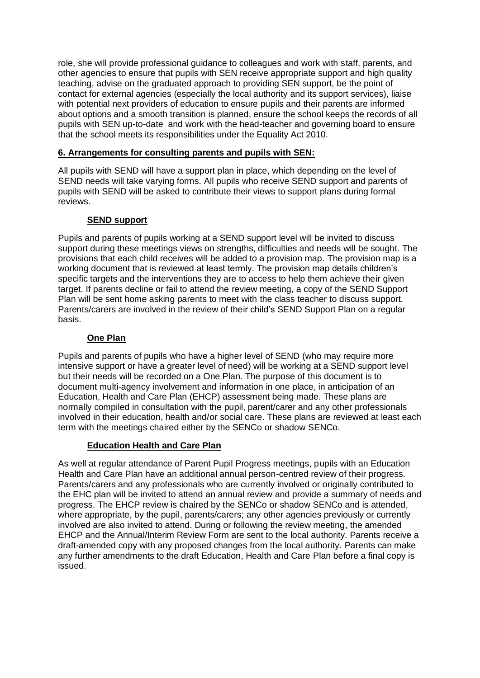role, she will provide professional guidance to colleagues and work with staff, parents, and other agencies to ensure that pupils with SEN receive appropriate support and high quality teaching, advise on the graduated approach to providing SEN support, be the point of contact for external agencies (especially the local authority and its support services), liaise with potential next providers of education to ensure pupils and their parents are informed about options and a smooth transition is planned, ensure the school keeps the records of all pupils with SEN up-to-date and work with the head-teacher and governing board to ensure that the school meets its responsibilities under the Equality Act 2010.

# **6. Arrangements for consulting parents and pupils with SEN:**

All pupils with SEND will have a support plan in place, which depending on the level of SEND needs will take varying forms. All pupils who receive SEND support and parents of pupils with SEND will be asked to contribute their views to support plans during formal reviews.

# **SEND support**

Pupils and parents of pupils working at a SEND support level will be invited to discuss support during these meetings views on strengths, difficulties and needs will be sought. The provisions that each child receives will be added to a provision map. The provision map is a working document that is reviewed at least termly. The provision map details children's specific targets and the interventions they are to access to help them achieve their given target. If parents decline or fail to attend the review meeting, a copy of the SEND Support Plan will be sent home asking parents to meet with the class teacher to discuss support. Parents/carers are involved in the review of their child's SEND Support Plan on a regular basis.

## **One Plan**

Pupils and parents of pupils who have a higher level of SEND (who may require more intensive support or have a greater level of need) will be working at a SEND support level but their needs will be recorded on a One Plan. The purpose of this document is to document multi-agency involvement and information in one place, in anticipation of an Education, Health and Care Plan (EHCP) assessment being made. These plans are normally compiled in consultation with the pupil, parent/carer and any other professionals involved in their education, health and/or social care. These plans are reviewed at least each term with the meetings chaired either by the SENCo or shadow SENCo.

### **Education Health and Care Plan**

As well at regular attendance of Parent Pupil Progress meetings, pupils with an Education Health and Care Plan have an additional annual person-centred review of their progress. Parents/carers and any professionals who are currently involved or originally contributed to the EHC plan will be invited to attend an annual review and provide a summary of needs and progress. The EHCP review is chaired by the SENCo or shadow SENCo and is attended, where appropriate, by the pupil, parents/carers; any other agencies previously or currently involved are also invited to attend. During or following the review meeting, the amended EHCP and the Annual/Interim Review Form are sent to the local authority. Parents receive a draft-amended copy with any proposed changes from the local authority. Parents can make any further amendments to the draft Education, Health and Care Plan before a final copy is issued.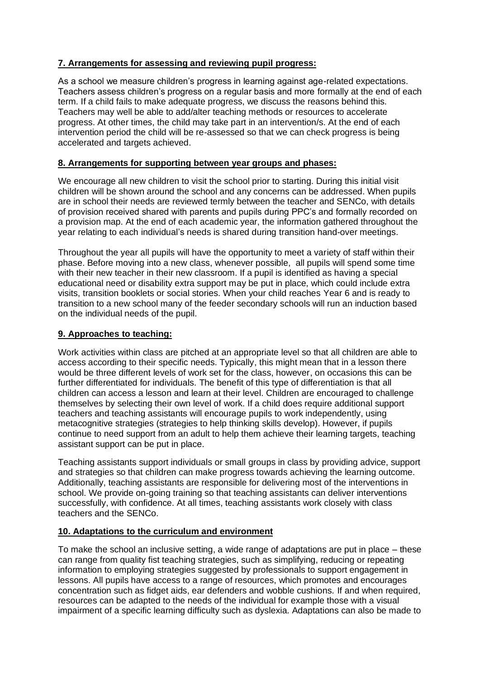# **7. Arrangements for assessing and reviewing pupil progress:**

As a school we measure children's progress in learning against age-related expectations. Teachers assess children's progress on a regular basis and more formally at the end of each term. If a child fails to make adequate progress, we discuss the reasons behind this. Teachers may well be able to add/alter teaching methods or resources to accelerate progress. At other times, the child may take part in an intervention/s. At the end of each intervention period the child will be re-assessed so that we can check progress is being accelerated and targets achieved.

# **8. Arrangements for supporting between year groups and phases:**

We encourage all new children to visit the school prior to starting. During this initial visit children will be shown around the school and any concerns can be addressed. When pupils are in school their needs are reviewed termly between the teacher and SENCo, with details of provision received shared with parents and pupils during PPC's and formally recorded on a provision map. At the end of each academic year, the information gathered throughout the year relating to each individual's needs is shared during transition hand-over meetings.

Throughout the year all pupils will have the opportunity to meet a variety of staff within their phase. Before moving into a new class, whenever possible, all pupils will spend some time with their new teacher in their new classroom. If a pupil is identified as having a special educational need or disability extra support may be put in place, which could include extra visits, transition booklets or social stories. When your child reaches Year 6 and is ready to transition to a new school many of the feeder secondary schools will run an induction based on the individual needs of the pupil.

# **9. Approaches to teaching:**

Work activities within class are pitched at an appropriate level so that all children are able to access according to their specific needs. Typically, this might mean that in a lesson there would be three different levels of work set for the class, however, on occasions this can be further differentiated for individuals. The benefit of this type of differentiation is that all children can access a lesson and learn at their level. Children are encouraged to challenge themselves by selecting their own level of work. If a child does require additional support teachers and teaching assistants will encourage pupils to work independently, using metacognitive strategies (strategies to help thinking skills develop). However, if pupils continue to need support from an adult to help them achieve their learning targets, teaching assistant support can be put in place.

Teaching assistants support individuals or small groups in class by providing advice, support and strategies so that children can make progress towards achieving the learning outcome. Additionally, teaching assistants are responsible for delivering most of the interventions in school. We provide on-going training so that teaching assistants can deliver interventions successfully, with confidence. At all times, teaching assistants work closely with class teachers and the SENCo.

### **10. Adaptations to the curriculum and environment**

To make the school an inclusive setting, a wide range of adaptations are put in place – these can range from quality fist teaching strategies, such as simplifying, reducing or repeating information to employing strategies suggested by professionals to support engagement in lessons. All pupils have access to a range of resources, which promotes and encourages concentration such as fidget aids, ear defenders and wobble cushions. If and when required, resources can be adapted to the needs of the individual for example those with a visual impairment of a specific learning difficulty such as dyslexia. Adaptations can also be made to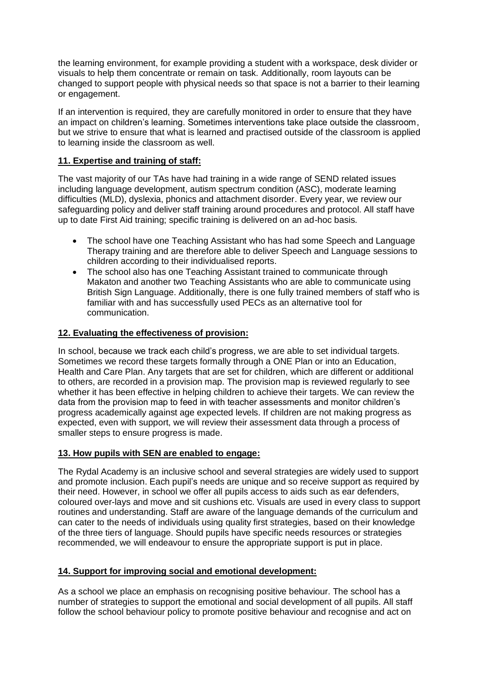the learning environment, for example providing a student with a workspace, desk divider or visuals to help them concentrate or remain on task. Additionally, room layouts can be changed to support people with physical needs so that space is not a barrier to their learning or engagement.

If an intervention is required, they are carefully monitored in order to ensure that they have an impact on children's learning. Sometimes interventions take place outside the classroom, but we strive to ensure that what is learned and practised outside of the classroom is applied to learning inside the classroom as well.

# **11. Expertise and training of staff:**

The vast majority of our TAs have had training in a wide range of SEND related issues including language development, autism spectrum condition (ASC), moderate learning difficulties (MLD), dyslexia, phonics and attachment disorder. Every year, we review our safeguarding policy and deliver staff training around procedures and protocol. All staff have up to date First Aid training; specific training is delivered on an ad-hoc basis.

- The school have one Teaching Assistant who has had some Speech and Language Therapy training and are therefore able to deliver Speech and Language sessions to children according to their individualised reports.
- The school also has one Teaching Assistant trained to communicate through Makaton and another two Teaching Assistants who are able to communicate using British Sign Language. Additionally, there is one fully trained members of staff who is familiar with and has successfully used PECs as an alternative tool for communication.

# **12. Evaluating the effectiveness of provision:**

In school, because we track each child's progress, we are able to set individual targets. Sometimes we record these targets formally through a ONE Plan or into an Education, Health and Care Plan. Any targets that are set for children, which are different or additional to others, are recorded in a provision map. The provision map is reviewed regularly to see whether it has been effective in helping children to achieve their targets. We can review the data from the provision map to feed in with teacher assessments and monitor children's progress academically against age expected levels. If children are not making progress as expected, even with support, we will review their assessment data through a process of smaller steps to ensure progress is made.

# **13. How pupils with SEN are enabled to engage:**

The Rydal Academy is an inclusive school and several strategies are widely used to support and promote inclusion. Each pupil's needs are unique and so receive support as required by their need. However, in school we offer all pupils access to aids such as ear defenders, coloured over-lays and move and sit cushions etc. Visuals are used in every class to support routines and understanding. Staff are aware of the language demands of the curriculum and can cater to the needs of individuals using quality first strategies, based on their knowledge of the three tiers of language. Should pupils have specific needs resources or strategies recommended, we will endeavour to ensure the appropriate support is put in place.

# **14. Support for improving social and emotional development:**

As a school we place an emphasis on recognising positive behaviour. The school has a number of strategies to support the emotional and social development of all pupils. All staff follow the school behaviour policy to promote positive behaviour and recognise and act on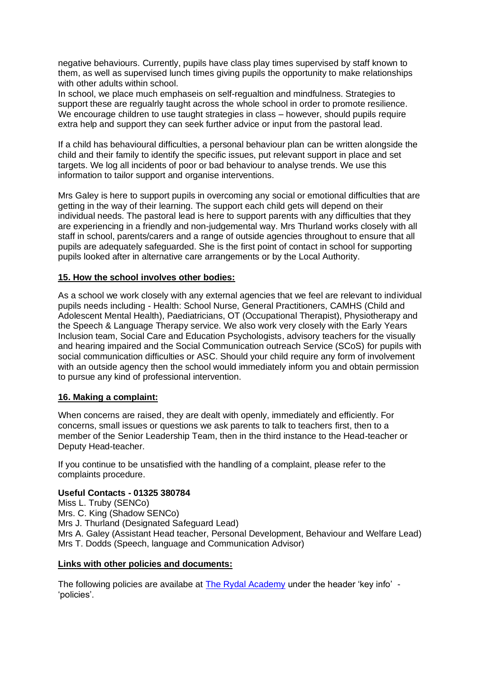negative behaviours. Currently, pupils have class play times supervised by staff known to them, as well as supervised lunch times giving pupils the opportunity to make relationships with other adults within school.

In school, we place much emphaseis on self-regualtion and mindfulness. Strategies to support these are regualrly taught across the whole school in order to promote resilience. We encourage children to use taught strategies in class – however, should pupils require extra help and support they can seek further advice or input from the pastoral lead.

If a child has behavioural difficulties, a personal behaviour plan can be written alongside the child and their family to identify the specific issues, put relevant support in place and set targets. We log all incidents of poor or bad behaviour to analyse trends. We use this information to tailor support and organise interventions.

Mrs Galey is here to support pupils in overcoming any social or emotional difficulties that are getting in the way of their learning. The support each child gets will depend on their individual needs. The pastoral lead is here to support parents with any difficulties that they are experiencing in a friendly and non-judgemental way. Mrs Thurland works closely with all staff in school, parents/carers and a range of outside agencies throughout to ensure that all pupils are adequately safeguarded. She is the first point of contact in school for supporting pupils looked after in alternative care arrangements or by the Local Authority.

### **15. How the school involves other bodies:**

As a school we work closely with any external agencies that we feel are relevant to individual pupils needs including - Health: School Nurse, General Practitioners, CAMHS (Child and Adolescent Mental Health), Paediatricians, OT (Occupational Therapist), Physiotherapy and the Speech & Language Therapy service. We also work very closely with the Early Years Inclusion team, Social Care and Education Psychologists, advisory teachers for the visually and hearing impaired and the Social Communication outreach Service (SCoS) for pupils with social communication difficulties or ASC. Should your child require any form of involvement with an outside agency then the school would immediately inform you and obtain permission to pursue any kind of professional intervention.

### **16. Making a complaint:**

When concerns are raised, they are dealt with openly, immediately and efficiently. For concerns, small issues or questions we ask parents to talk to teachers first, then to a member of the Senior Leadership Team, then in the third instance to the Head-teacher or Deputy Head-teacher.

If you continue to be unsatisfied with the handling of a complaint, please refer to the complaints procedure.

### **Useful Contacts - 01325 380784**

Miss L. Truby (SENCo) Mrs. C. King (Shadow SENCo) Mrs J. Thurland (Designated Safeguard Lead) Mrs A. Galey (Assistant Head teacher, Personal Development, Behaviour and Welfare Lead) Mrs T. Dodds (Speech, language and Communication Advisor)

#### **Links with other policies and documents:**

The following policies are availabe at [The Rydal Academy](https://rydal.swiftacademies.org.uk/) under the header 'key info' - 'policies'.